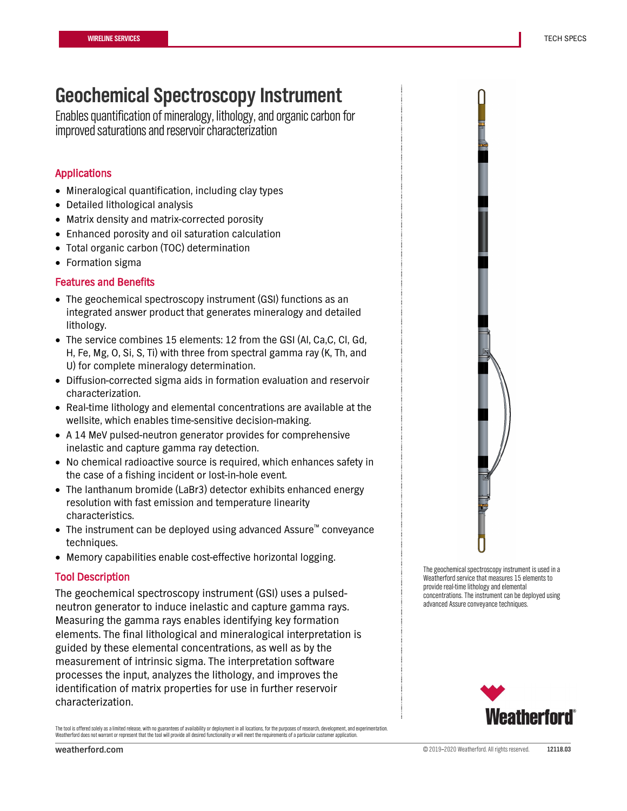## **Geochemical Spectroscopy Instrument**

Enables quantification of mineralogy, lithology, and organic carbon for improved saturations and reservoir characterization

## Applications

- Mineralogical quantification, including clay types
- Detailed lithological analysis
- Matrix density and matrix-corrected porosity
- Enhanced porosity and oil saturation calculation
- Total organic carbon (TOC) determination
- Formation sigma

## Features and Benefits

- The geochemical spectroscopy instrument (GSI) functions as an integrated answer product that generates mineralogy and detailed lithology.
- The service combines 15 elements: 12 from the GSI (Al, Ca,C, Cl, Gd, H, Fe, Mg, O, Si, S, Ti) with three from spectral gamma ray (K, Th, and U) for complete mineralogy determination.
- Diffusion-corrected sigma aids in formation evaluation and reservoir characterization.
- Real-time lithology and elemental concentrations are available at the wellsite, which enables time-sensitive decision-making.
- A 14 MeV pulsed-neutron generator provides for comprehensive inelastic and capture gamma ray detection.
- No chemical radioactive source is required, which enhances safety in the case of a fishing incident or lost-in-hole event.
- The lanthanum bromide (LaBr3) detector exhibits enhanced energy resolution with fast emission and temperature linearity characteristics.
- The instrument can be deployed using advanced Assure™ conveyance techniques.
- Memory capabilities enable cost-effective horizontal logging.

## Tool Description

The geochemical spectroscopy instrument (GSI) uses a pulsedneutron generator to induce inelastic and capture gamma rays. Measuring the gamma rays enables identifying key formation elements. The final lithological and mineralogical interpretation is guided by these elemental concentrations, as well as by the measurement of intrinsic sigma. The interpretation software processes the input, analyzes the lithology, and improves the identification of matrix properties for use in further reservoir characterization.

The tool is offered solely as a limited release, with no guarantees of availability or deployment in all locations, for the purposes of research, development, and experimentation Weatherford does not warrant or represent that the tool will provide all desired functionality or will meet the requirements of a particular customer application.



The geochemical spectroscopy instrument is used in a Weatherford service that measures 15 elements to provide real-time lithology and elemental concentrations. The instrument can be deployed using advanced Assure conveyance techniques.